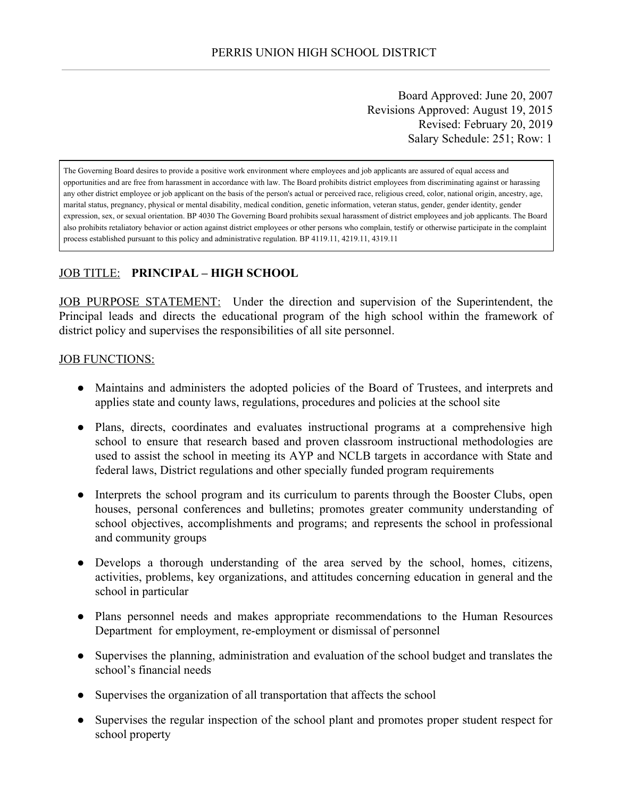Board Approved: June 20, 2007 Revisions Approved: August 19, 2015 Revised: February 20, 2019 Salary Schedule: 251; Row: 1

The Governing Board desires to provide a positive work environment where employees and job applicants are assured of equal access and opportunities and are free from harassment in accordance with law. The Board prohibits district employees from discriminating against or harassing any other district employee or job applicant on the basis of the person's actual or perceived race, religious creed, color, national origin, ancestry, age, marital status, pregnancy, physical or mental disability, medical condition, genetic information, veteran status, gender, gender identity, gender expression, sex, or sexual orientation. BP 4030 The Governing Board prohibits sexual harassment of district employees and job applicants. The Board also prohibits retaliatory behavior or action against district employees or other persons who complain, testify or otherwise participate in the complaint process established pursuant to this policy and administrative regulation. BP 4119.11, 4219.11, 4319.11

## JOB TITLE: **PRINCIPAL – HIGH SCHOOL**

JOB PURPOSE STATEMENT: Under the direction and supervision of the Superintendent, the Principal leads and directs the educational program of the high school within the framework of district policy and supervises the responsibilities of all site personnel.

#### **JOB FUNCTIONS:**

- Maintains and administers the adopted policies of the Board of Trustees, and interprets and applies state and county laws, regulations, procedures and policies at the school site
- Plans, directs, coordinates and evaluates instructional programs at a comprehensive high school to ensure that research based and proven classroom instructional methodologies are used to assist the school in meeting its AYP and NCLB targets in accordance with State and federal laws, District regulations and other specially funded program requirements
- Interprets the school program and its curriculum to parents through the Booster Clubs, open houses, personal conferences and bulletins; promotes greater community understanding of school objectives, accomplishments and programs; and represents the school in professional and community groups
- Develops a thorough understanding of the area served by the school, homes, citizens, activities, problems, key organizations, and attitudes concerning education in general and the school in particular
- Plans personnel needs and makes appropriate recommendations to the Human Resources Department for employment, re-employment or dismissal of personnel
- Supervises the planning, administration and evaluation of the school budget and translates the school's financial needs
- Supervises the organization of all transportation that affects the school
- Supervises the regular inspection of the school plant and promotes proper student respect for school property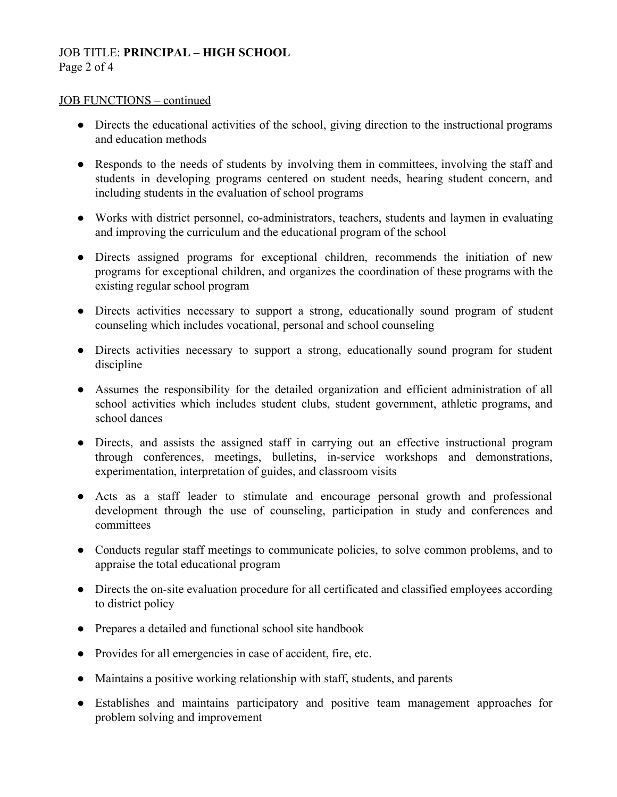# JOB TITLE: **PRINCIPAL – HIGH SCHOOL** Page 2 of 4

### JOB FUNCTIONS – continued

- Directs the educational activities of the school, giving direction to the instructional programs and education methods
- Responds to the needs of students by involving them in committees, involving the staff and students in developing programs centered on student needs, hearing student concern, and including students in the evaluation of school programs
- Works with district personnel, co-administrators, teachers, students and laymen in evaluating and improving the curriculum and the educational program of the school
- Directs assigned programs for exceptional children, recommends the initiation of new programs for exceptional children, and organizes the coordination of these programs with the existing regular school program
- Directs activities necessary to support a strong, educationally sound program of student counseling which includes vocational, personal and school counseling
- Directs activities necessary to support a strong, educationally sound program for student discipline
- Assumes the responsibility for the detailed organization and efficient administration of all school activities which includes student clubs, student government, athletic programs, and school dances
- Directs, and assists the assigned staff in carrying out an effective instructional program through conferences, meetings, bulletins, in-service workshops and demonstrations, experimentation, interpretation of guides, and classroom visits
- Acts as a staff leader to stimulate and encourage personal growth and professional development through the use of counseling, participation in study and conferences and committees
- Conducts regular staff meetings to communicate policies, to solve common problems, and to appraise the total educational program
- Directs the on-site evaluation procedure for all certificated and classified employees according to district policy
- Prepares a detailed and functional school site handbook
- Provides for all emergencies in case of accident, fire, etc.
- Maintains a positive working relationship with staff, students, and parents
- Establishes and maintains participatory and positive team management approaches for problem solving and improvement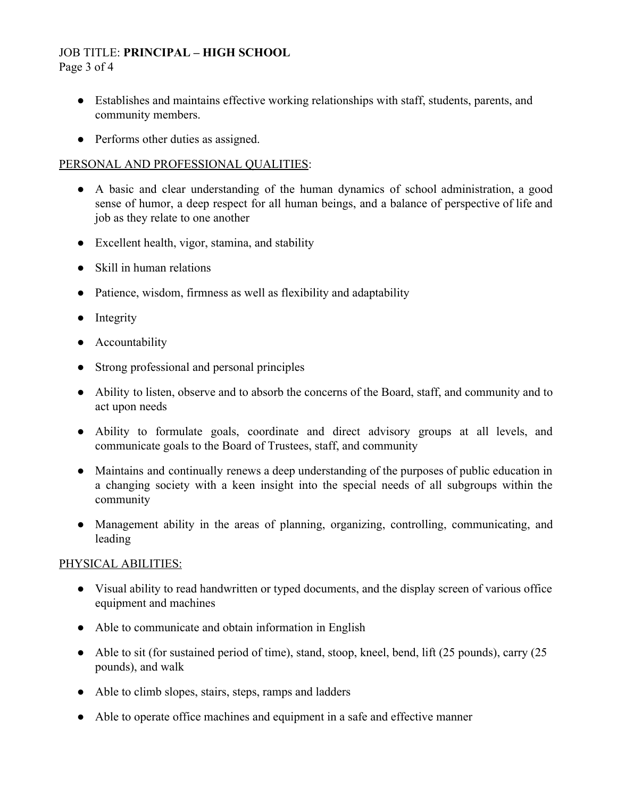# JOB TITLE: **PRINCIPAL – HIGH SCHOOL**

Page 3 of 4

- Establishes and maintains effective working relationships with staff, students, parents, and community members.
- Performs other duties as assigned.

# PERSONAL AND PROFESSIONAL QUALITIES:

- A basic and clear understanding of the human dynamics of school administration, a good sense of humor, a deep respect for all human beings, and a balance of perspective of life and job as they relate to one another
- Excellent health, vigor, stamina, and stability
- Skill in human relations
- Patience, wisdom, firmness as well as flexibility and adaptability
- Integrity
- Accountability
- Strong professional and personal principles
- Ability to listen, observe and to absorb the concerns of the Board, staff, and community and to act upon needs
- Ability to formulate goals, coordinate and direct advisory groups at all levels, and communicate goals to the Board of Trustees, staff, and community
- Maintains and continually renews a deep understanding of the purposes of public education in a changing society with a keen insight into the special needs of all subgroups within the community
- Management ability in the areas of planning, organizing, controlling, communicating, and leading

# PHYSICAL ABILITIES:

- Visual ability to read handwritten or typed documents, and the display screen of various office equipment and machines
- Able to communicate and obtain information in English
- Able to sit (for sustained period of time), stand, stoop, kneel, bend, lift (25 pounds), carry (25 pounds), and walk
- Able to climb slopes, stairs, steps, ramps and ladders
- Able to operate office machines and equipment in a safe and effective manner